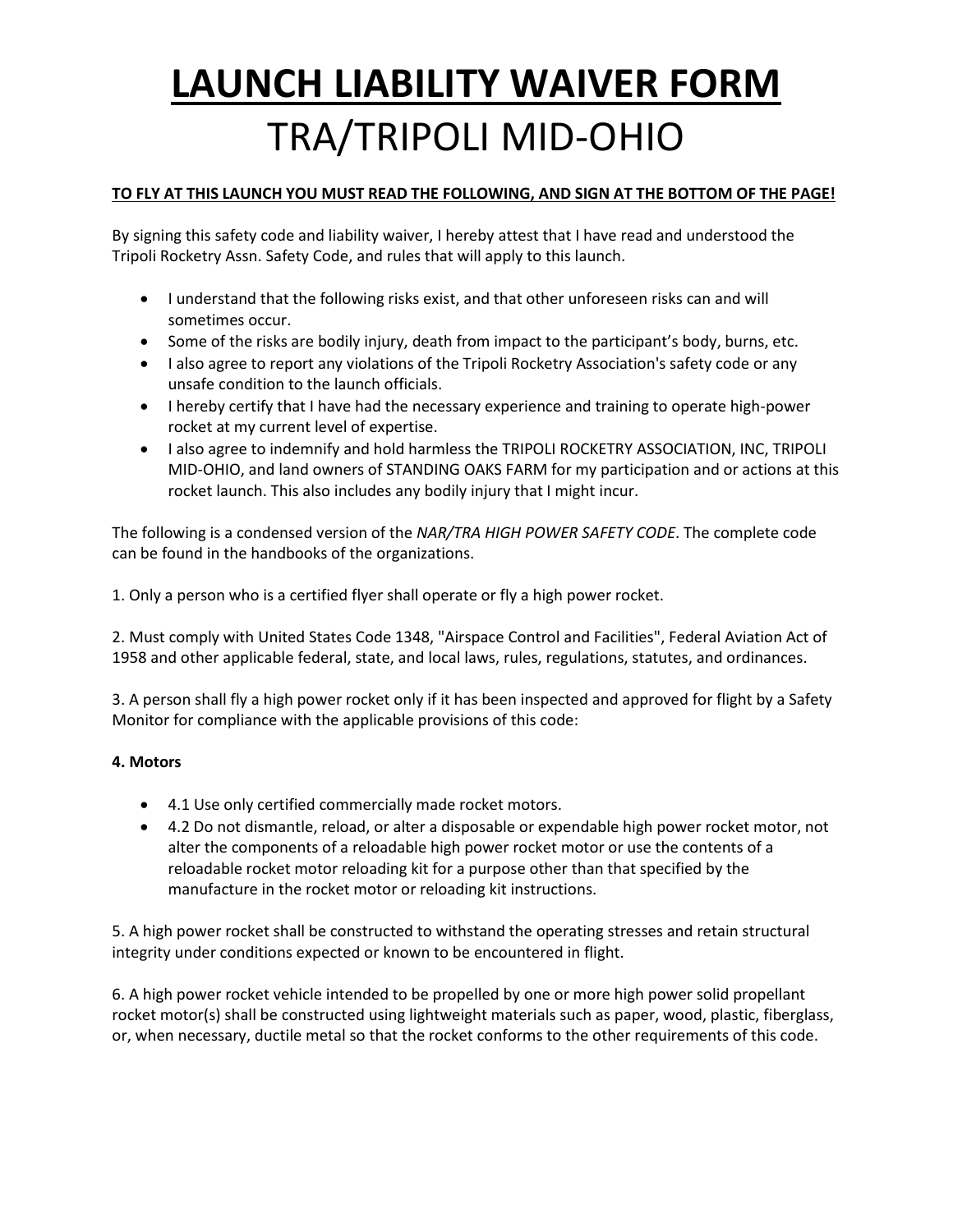#### **TO FLY AT THIS LAUNCH YOU MUST READ THE FOLLOWING, AND SIGN AT THE BOTTOM OF THE PAGE!**

By signing this safety code and liability waiver, I hereby attest that I have read and understood the Tripoli Rocketry Assn. Safety Code, and rules that will apply to this launch.

- I understand that the following risks exist, and that other unforeseen risks can and will sometimes occur.
- Some of the risks are bodily injury, death from impact to the participant's body, burns, etc.
- I also agree to report any violations of the Tripoli Rocketry Association's safety code or any unsafe condition to the launch officials.
- I hereby certify that I have had the necessary experience and training to operate high-power rocket at my current level of expertise.
- I also agree to indemnify and hold harmless the TRIPOLI ROCKETRY ASSOCIATION, INC, TRIPOLI MID-OHIO, and land owners of STANDING OAKS FARM for my participation and or actions at this rocket launch. This also includes any bodily injury that I might incur.

The following is a condensed version of the *NAR/TRA HIGH POWER SAFETY CODE*. The complete code can be found in the handbooks of the organizations.

1. Only a person who is a certified flyer shall operate or fly a high power rocket.

2. Must comply with United States Code 1348, "Airspace Control and Facilities", Federal Aviation Act of 1958 and other applicable federal, state, and local laws, rules, regulations, statutes, and ordinances.

3. A person shall fly a high power rocket only if it has been inspected and approved for flight by a Safety Monitor for compliance with the applicable provisions of this code:

#### **4. Motors**

- 4.1 Use only certified commercially made rocket motors.
- 4.2 Do not dismantle, reload, or alter a disposable or expendable high power rocket motor, not alter the components of a reloadable high power rocket motor or use the contents of a reloadable rocket motor reloading kit for a purpose other than that specified by the manufacture in the rocket motor or reloading kit instructions.

5. A high power rocket shall be constructed to withstand the operating stresses and retain structural integrity under conditions expected or known to be encountered in flight.

6. A high power rocket vehicle intended to be propelled by one or more high power solid propellant rocket motor(s) shall be constructed using lightweight materials such as paper, wood, plastic, fiberglass, or, when necessary, ductile metal so that the rocket conforms to the other requirements of this code.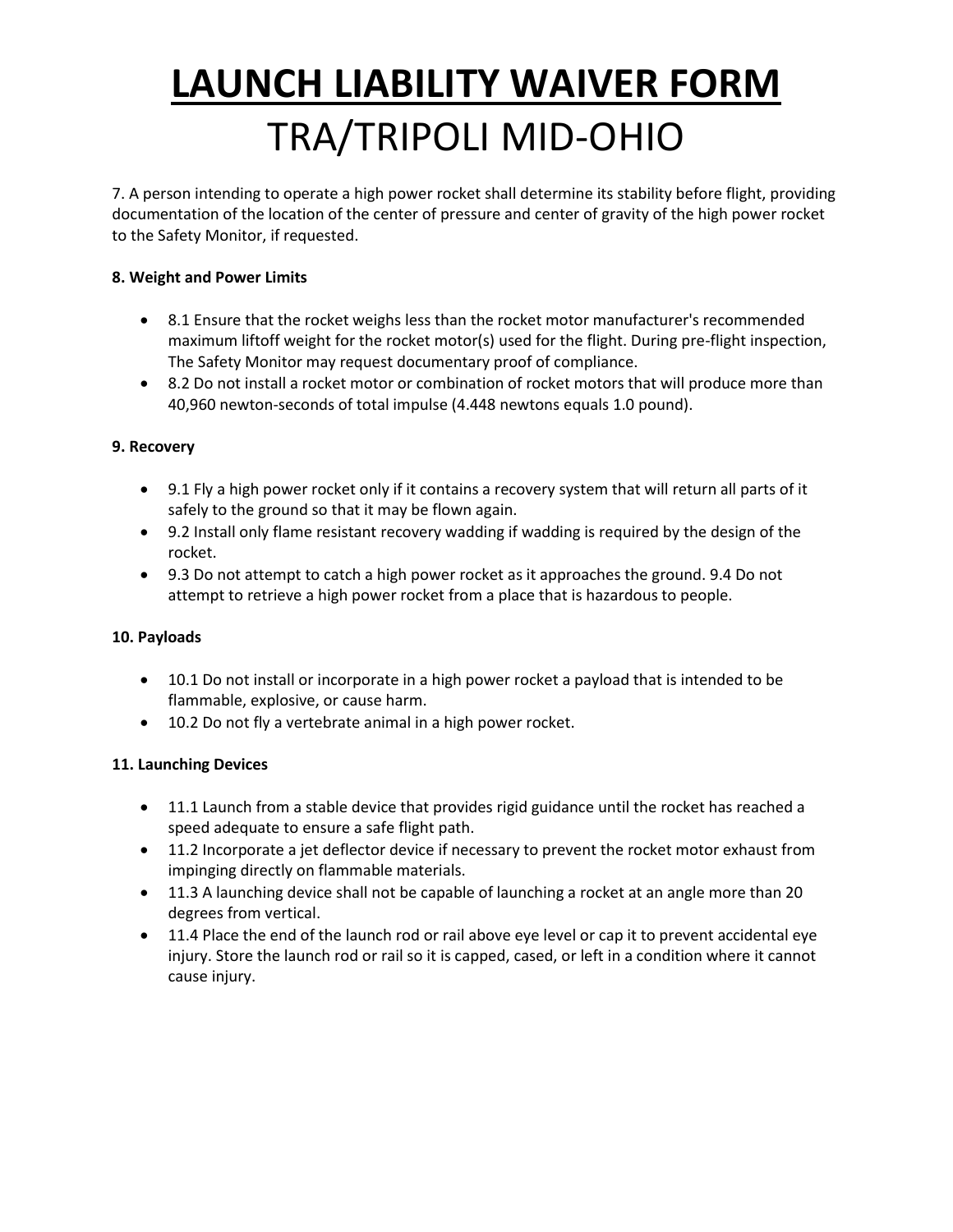7. A person intending to operate a high power rocket shall determine its stability before flight, providing documentation of the location of the center of pressure and center of gravity of the high power rocket to the Safety Monitor, if requested.

#### **8. Weight and Power Limits**

- 8.1 Ensure that the rocket weighs less than the rocket motor manufacturer's recommended maximum liftoff weight for the rocket motor(s) used for the flight. During pre-flight inspection, The Safety Monitor may request documentary proof of compliance.
- 8.2 Do not install a rocket motor or combination of rocket motors that will produce more than 40,960 newton-seconds of total impulse (4.448 newtons equals 1.0 pound).

#### **9. Recovery**

- 9.1 Fly a high power rocket only if it contains a recovery system that will return all parts of it safely to the ground so that it may be flown again.
- 9.2 Install only flame resistant recovery wadding if wadding is required by the design of the rocket.
- 9.3 Do not attempt to catch a high power rocket as it approaches the ground. 9.4 Do not attempt to retrieve a high power rocket from a place that is hazardous to people.

#### **10. Payloads**

- 10.1 Do not install or incorporate in a high power rocket a payload that is intended to be flammable, explosive, or cause harm.
- 10.2 Do not fly a vertebrate animal in a high power rocket.

#### **11. Launching Devices**

- 11.1 Launch from a stable device that provides rigid guidance until the rocket has reached a speed adequate to ensure a safe flight path.
- 11.2 Incorporate a jet deflector device if necessary to prevent the rocket motor exhaust from impinging directly on flammable materials.
- 11.3 A launching device shall not be capable of launching a rocket at an angle more than 20 degrees from vertical.
- 11.4 Place the end of the launch rod or rail above eye level or cap it to prevent accidental eye injury. Store the launch rod or rail so it is capped, cased, or left in a condition where it cannot cause injury.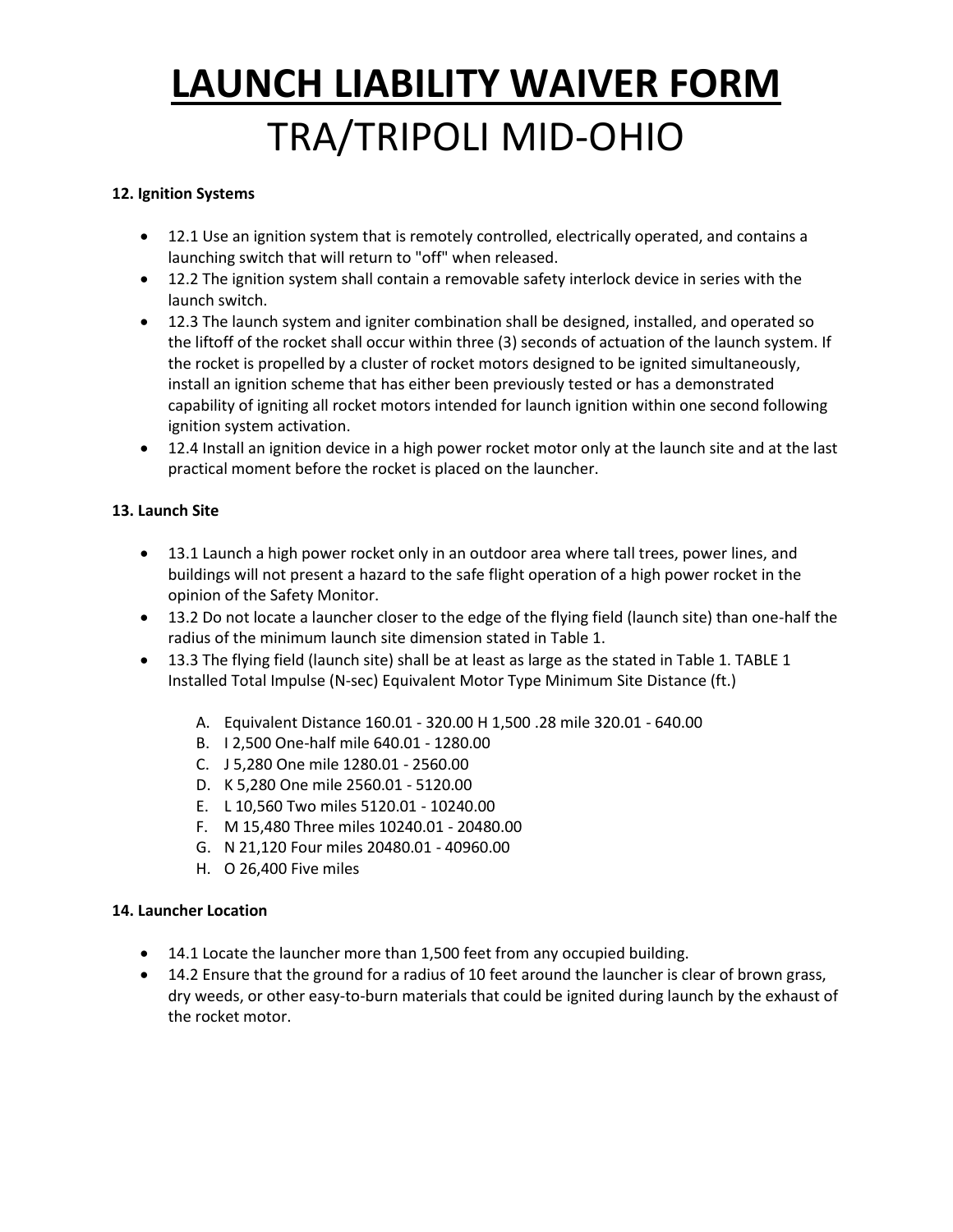#### **12. Ignition Systems**

- 12.1 Use an ignition system that is remotely controlled, electrically operated, and contains a launching switch that will return to "off" when released.
- 12.2 The ignition system shall contain a removable safety interlock device in series with the launch switch.
- 12.3 The launch system and igniter combination shall be designed, installed, and operated so the liftoff of the rocket shall occur within three (3) seconds of actuation of the launch system. If the rocket is propelled by a cluster of rocket motors designed to be ignited simultaneously, install an ignition scheme that has either been previously tested or has a demonstrated capability of igniting all rocket motors intended for launch ignition within one second following ignition system activation.
- 12.4 Install an ignition device in a high power rocket motor only at the launch site and at the last practical moment before the rocket is placed on the launcher.

#### **13. Launch Site**

- 13.1 Launch a high power rocket only in an outdoor area where tall trees, power lines, and buildings will not present a hazard to the safe flight operation of a high power rocket in the opinion of the Safety Monitor.
- 13.2 Do not locate a launcher closer to the edge of the flying field (launch site) than one-half the radius of the minimum launch site dimension stated in Table 1.
- 13.3 The flying field (launch site) shall be at least as large as the stated in Table 1. TABLE 1 Installed Total Impulse (N-sec) Equivalent Motor Type Minimum Site Distance (ft.)
	- A. Equivalent Distance 160.01 320.00 H 1,500 .28 mile 320.01 640.00
	- B. I 2,500 One-half mile 640.01 1280.00
	- C. J 5,280 One mile 1280.01 2560.00
	- D. K 5,280 One mile 2560.01 5120.00
	- E. L 10,560 Two miles 5120.01 10240.00
	- F. M 15,480 Three miles 10240.01 20480.00
	- G. N 21,120 Four miles 20480.01 40960.00
	- H. O 26,400 Five miles

#### **14. Launcher Location**

- 14.1 Locate the launcher more than 1,500 feet from any occupied building.
- 14.2 Ensure that the ground for a radius of 10 feet around the launcher is clear of brown grass, dry weeds, or other easy-to-burn materials that could be ignited during launch by the exhaust of the rocket motor.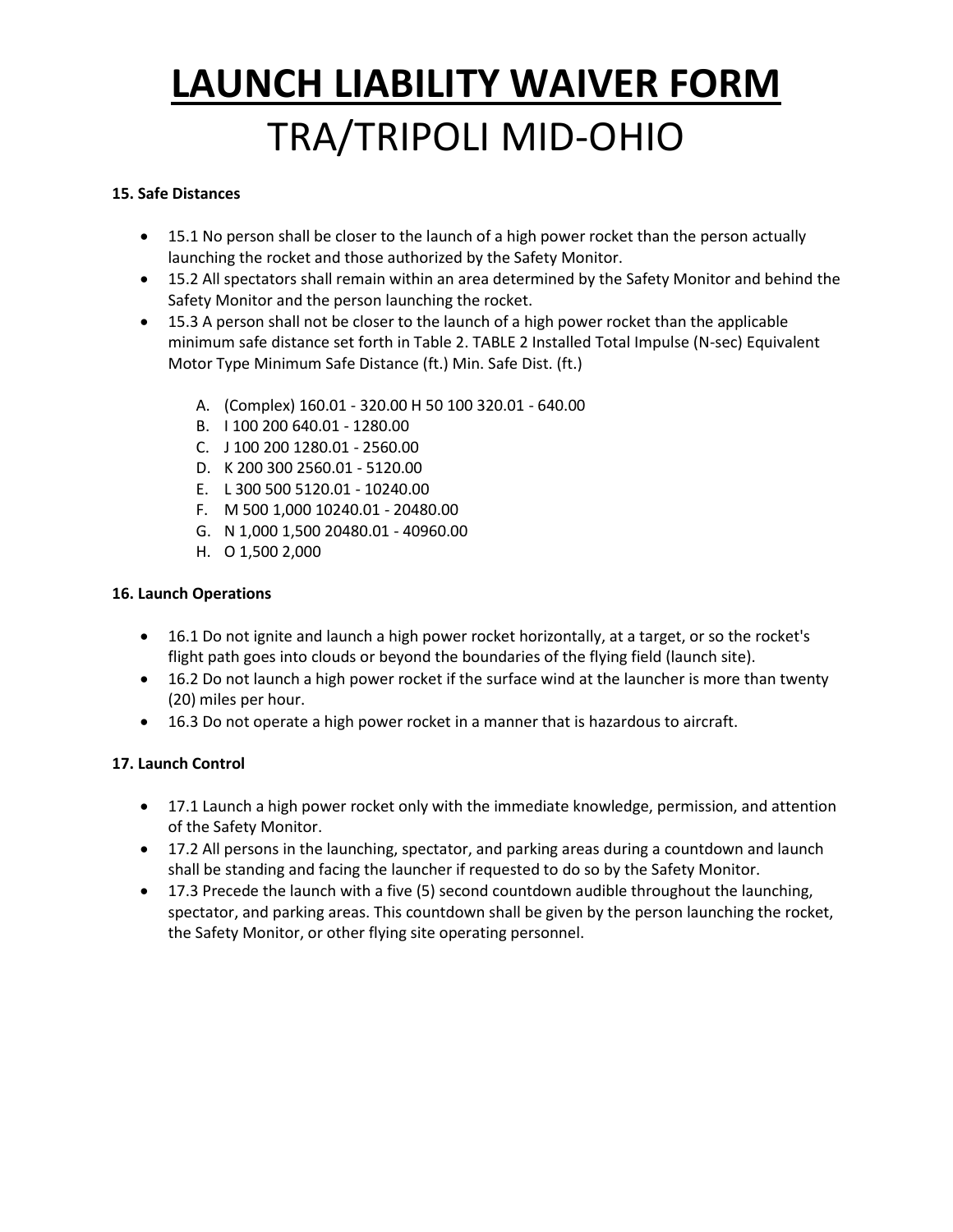#### **15. Safe Distances**

- 15.1 No person shall be closer to the launch of a high power rocket than the person actually launching the rocket and those authorized by the Safety Monitor.
- 15.2 All spectators shall remain within an area determined by the Safety Monitor and behind the Safety Monitor and the person launching the rocket.
- 15.3 A person shall not be closer to the launch of a high power rocket than the applicable minimum safe distance set forth in Table 2. TABLE 2 Installed Total Impulse (N-sec) Equivalent Motor Type Minimum Safe Distance (ft.) Min. Safe Dist. (ft.)
	- A. (Complex) 160.01 320.00 H 50 100 320.01 640.00
	- B. I 100 200 640.01 1280.00
	- C. J 100 200 1280.01 2560.00
	- D. K 200 300 2560.01 5120.00
	- E. L 300 500 5120.01 10240.00
	- F. M 500 1,000 10240.01 20480.00
	- G. N 1,000 1,500 20480.01 40960.00
	- H. O 1,500 2,000

#### **16. Launch Operations**

- 16.1 Do not ignite and launch a high power rocket horizontally, at a target, or so the rocket's flight path goes into clouds or beyond the boundaries of the flying field (launch site).
- 16.2 Do not launch a high power rocket if the surface wind at the launcher is more than twenty (20) miles per hour.
- 16.3 Do not operate a high power rocket in a manner that is hazardous to aircraft.

#### **17. Launch Control**

- 17.1 Launch a high power rocket only with the immediate knowledge, permission, and attention of the Safety Monitor.
- 17.2 All persons in the launching, spectator, and parking areas during a countdown and launch shall be standing and facing the launcher if requested to do so by the Safety Monitor.
- 17.3 Precede the launch with a five (5) second countdown audible throughout the launching, spectator, and parking areas. This countdown shall be given by the person launching the rocket, the Safety Monitor, or other flying site operating personnel.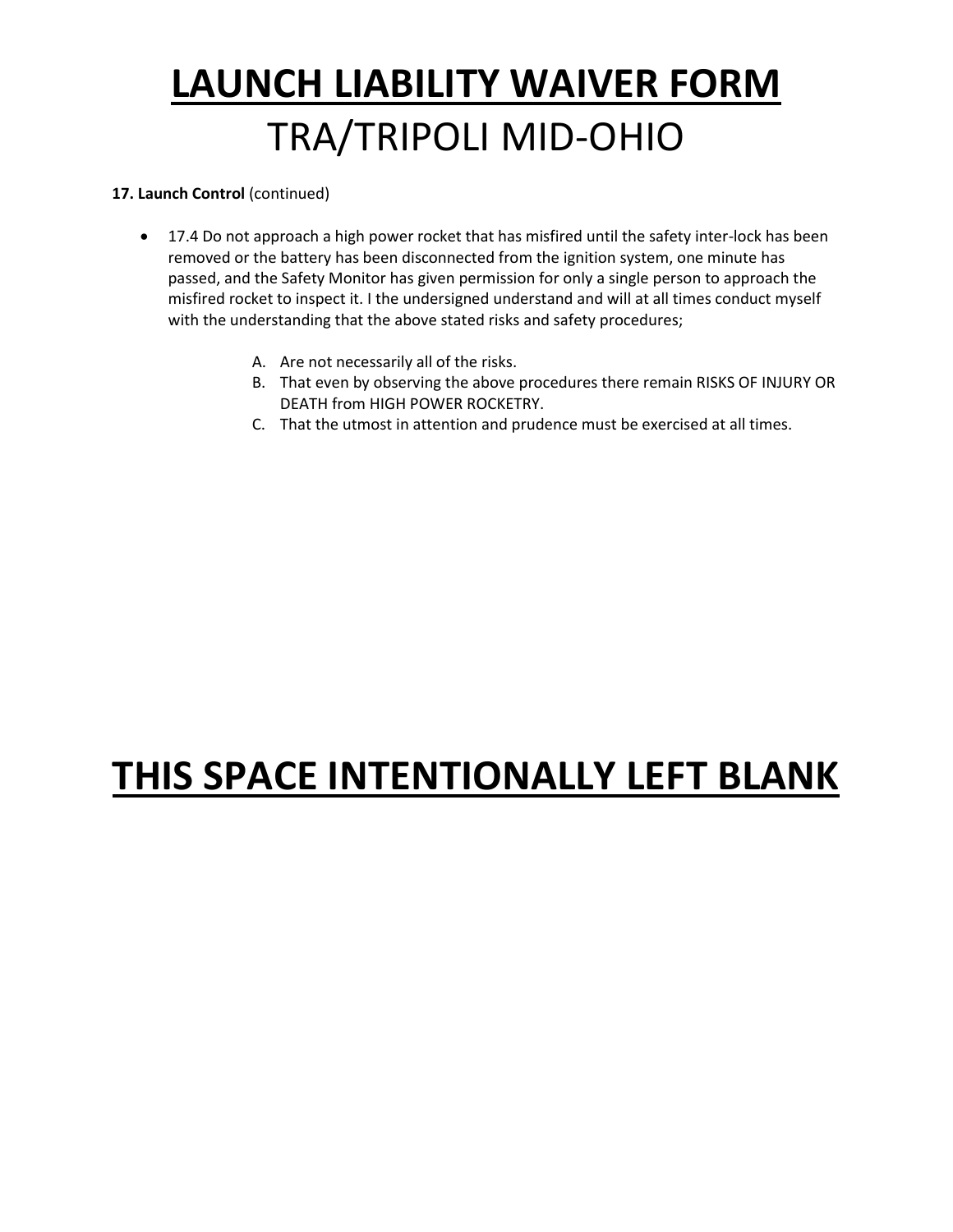#### **17. Launch Control** (continued)

- 17.4 Do not approach a high power rocket that has misfired until the safety inter-lock has been removed or the battery has been disconnected from the ignition system, one minute has passed, and the Safety Monitor has given permission for only a single person to approach the misfired rocket to inspect it. I the undersigned understand and will at all times conduct myself with the understanding that the above stated risks and safety procedures;
	- A. Are not necessarily all of the risks.
	- B. That even by observing the above procedures there remain RISKS OF INJURY OR DEATH from HIGH POWER ROCKETRY.
	- C. That the utmost in attention and prudence must be exercised at all times.

### **THIS SPACE INTENTIONALLY LEFT BLANK**